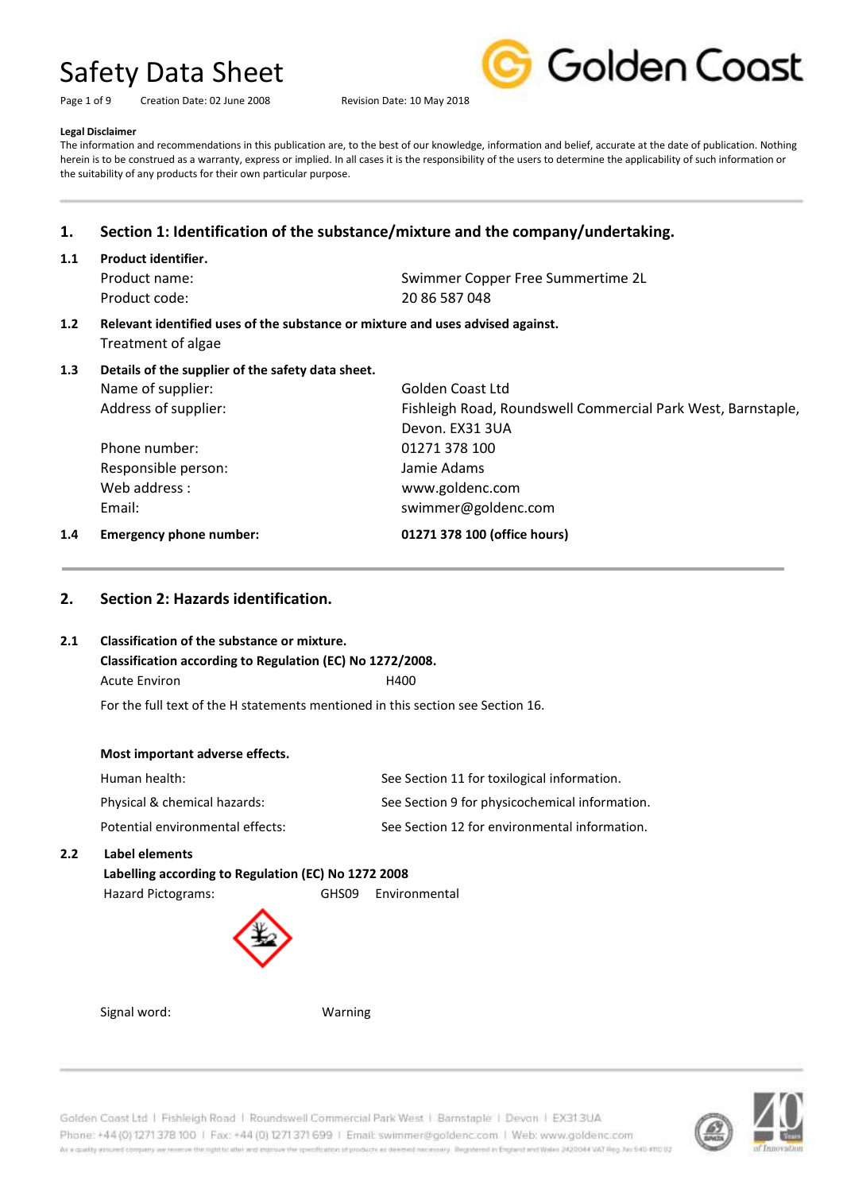Page 1 of 9 Creation Date: 02 June 2008 Revision Date: 10 May 2018



#### **Legal Disclaimer**

The information and recommendations in this publication are, to the best of our knowledge, information and belief, accurate at the date of publication. Nothing herein is to be construed as a warranty, express or implied. In all cases it is the responsibility of the users to determine the applicability of such information or the suitability of any products for their own particular purpose.

## **1. Section 1: Identification of the substance/mixture and the company/undertaking.**

**1.1 Product identifier.**

Product code: 20 86 587 048

Product name: Swimmer Copper Free Summertime 2L

- **1.2 Relevant identified uses of the substance or mixture and uses advised against.** Treatment of algae
- **1.3 Details of the supplier of the safety data sheet.** Name of supplier: Golden Coast Ltd Address of supplier: Fishleigh Road, Roundswell Commercial Park West, Barnstaple, Devon. EX31 3UA Phone number: 01271 378 100 Responsible person: Jamie Adams Web address : www.goldenc.com Email: swimmer@goldenc.com **1.4 Emergency phone number: 01271 378 100 (office hours)**

### **2. Section 2: Hazards identification.**

#### **2.1 Classification of the substance or mixture.**

# **Classification according to Regulation (EC) No 1272/2008.** Acute Environ **H400**

For the full text of the H statements mentioned in this section see Section 16.

#### **Most important adverse effects.**

| Human health:                    | See Section 11 for toxilogical information.    |
|----------------------------------|------------------------------------------------|
| Physical & chemical hazards:     | See Section 9 for physicochemical information. |
| Potential environmental effects: | See Section 12 for environmental information.  |

#### **2.2 Label elements**

#### **Labelling according to Regulation (EC) No 1272 2008**

Hazard Pictograms: GHS09 Environmental



Signal word: Warning

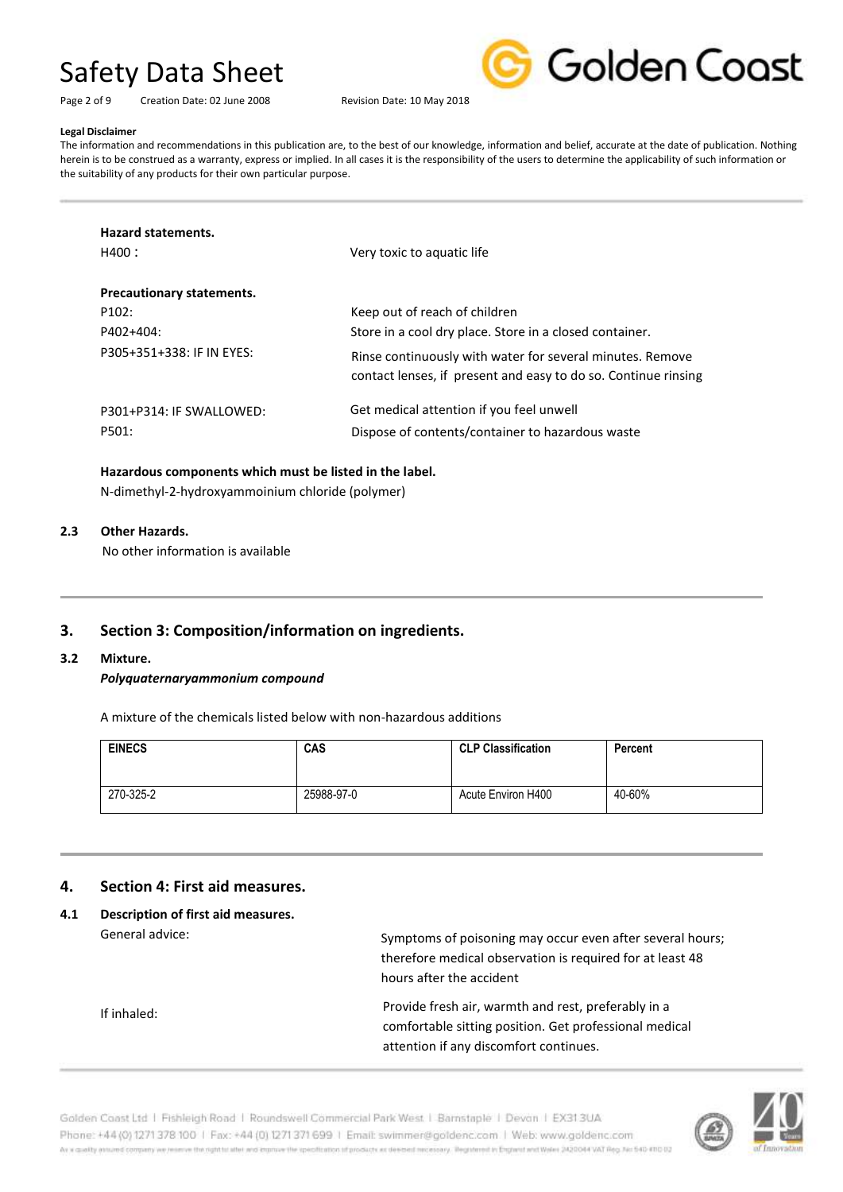Page 2 of 9 Creation Date: 02 June 2008 Revision Date: 10 May 2018



#### **Legal Disclaimer**

The information and recommendations in this publication are, to the best of our knowledge, information and belief, accurate at the date of publication. Nothing herein is to be construed as a warranty, express or implied. In all cases it is the responsibility of the users to determine the applicability of such information or the suitability of any products for their own particular purpose.

| <b>Hazard statements.</b>        |                                                                                                                             |
|----------------------------------|-----------------------------------------------------------------------------------------------------------------------------|
| H400 :                           | Very toxic to aquatic life                                                                                                  |
| <b>Precautionary statements.</b> |                                                                                                                             |
| P <sub>102</sub> :               | Keep out of reach of children                                                                                               |
| P402+404:                        | Store in a cool dry place. Store in a closed container.                                                                     |
| P305+351+338: IF IN EYES:        | Rinse continuously with water for several minutes. Remove<br>contact lenses, if present and easy to do so. Continue rinsing |
| P301+P314: IF SWALLOWED:         | Get medical attention if you feel unwell                                                                                    |
| P501:                            | Dispose of contents/container to hazardous waste                                                                            |

#### **Hazardous components which must be listed in the label.**

N-dimethyl-2-hydroxyammoinium chloride (polymer)

#### **2.3 Other Hazards.**

No other information is available

## **3. Section 3: Composition/information on ingredients.**

#### **3.2 Mixture.**

#### *Polyquaternaryammonium compound*

A mixture of the chemicals listed below with non-hazardous additions

| <b>EINECS</b> | CAS        | <b>CLP Classification</b> | Percent |
|---------------|------------|---------------------------|---------|
| 270-325-2     | 25988-97-0 | Acute Environ H400        | 40-60%  |

#### **4. Section 4: First aid measures.**

#### **4.1 Description of first aid measures.** General advice:

If inhaled: Symptoms of poisoning may occur even after several hours; therefore medical observation is required for at least 48 hours after the accident Provide fresh air, warmth and rest, preferably in a comfortable sitting position. Get professional medical attention if any discomfort continues.

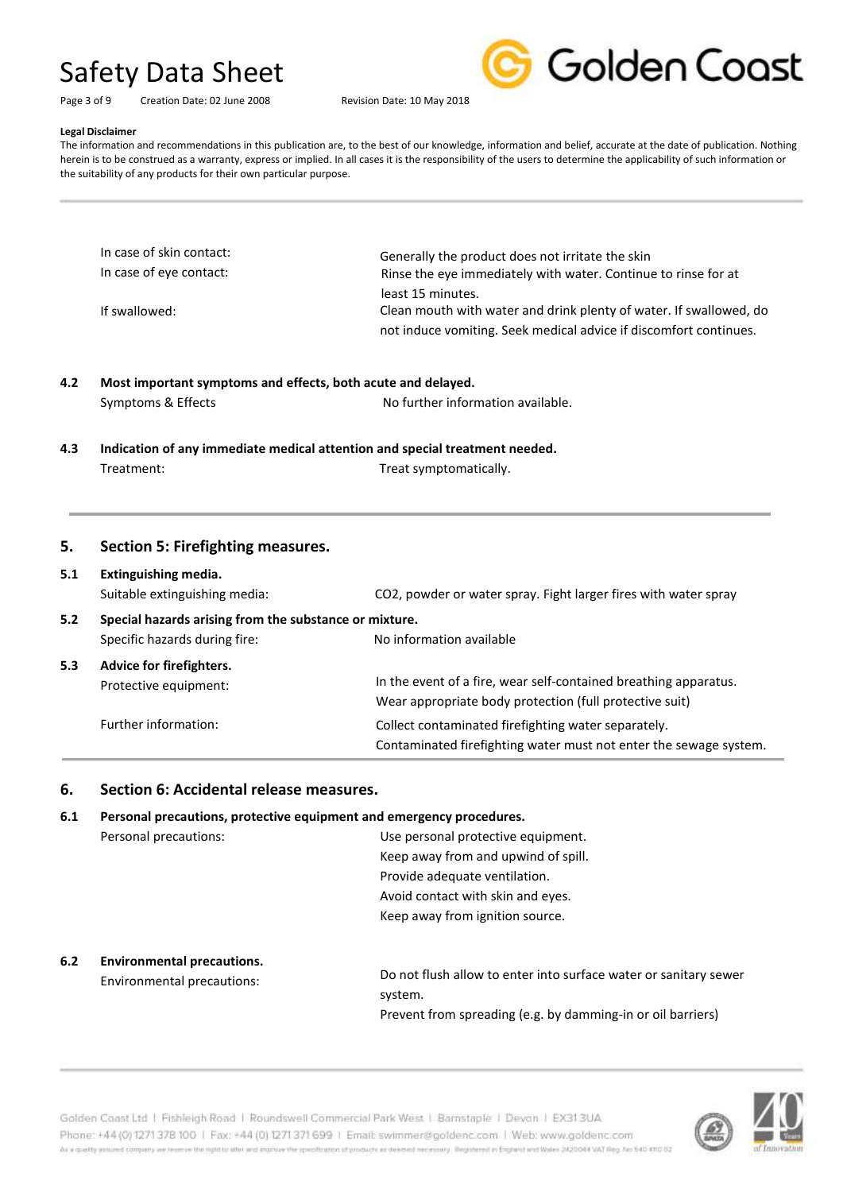|  | <b>Golden Coast</b> |
|--|---------------------|

#### Page 3 of 9 Creation Date: 02 June 2008 Revision Date: 10 May 2018

#### **Legal Disclaimer**

The information and recommendations in this publication are, to the best of our knowledge, information and belief, accurate at the date of publication. Nothing herein is to be construed as a warranty, express or implied. In all cases it is the responsibility of the users to determine the applicability of such information or the suitability of any products for their own particular purpose.

| In case of skin contact: | Generally the product does not irritate the skin                   |
|--------------------------|--------------------------------------------------------------------|
| In case of eye contact:  | Rinse the eye immediately with water. Continue to rinse for at     |
|                          | least 15 minutes.                                                  |
| If swallowed:            | Clean mouth with water and drink plenty of water. If swallowed, do |
|                          | not induce vomiting. Seek medical advice if discomfort continues.  |

## **4.2 Most important symptoms and effects, both acute and delayed.** Symptoms & Effects **No further information available.**

**4.3 Indication of any immediate medical attention and special treatment needed.** Treatment: Treat symptomatically.

#### **5. Section 5: Firefighting measures.**

#### **5.1 Extinguishing media.**

|     | Suitable extinguishing media:                          | CO2, powder or water spray. Fight larger fires with water spray                                                             |  |
|-----|--------------------------------------------------------|-----------------------------------------------------------------------------------------------------------------------------|--|
| 5.2 | Special hazards arising from the substance or mixture. |                                                                                                                             |  |
|     | Specific hazards during fire:                          | No information available                                                                                                    |  |
| 5.3 | Advice for firefighters.<br>Protective equipment:      | In the event of a fire, wear self-contained breathing apparatus.<br>Wear appropriate body protection (full protective suit) |  |
|     | Further information:                                   | Collect contaminated firefighting water separately.<br>Contaminated firefighting water must not enter the sewage system.    |  |

#### **6. Section 6: Accidental release measures.**

### **6.1 Personal precautions, protective equipment and emergency procedures.** Personal precautions: Use personal protective equipment. Keep away from and upwind of spill. Provide adequate ventilation. Avoid contact with skin and eyes. Keep away from ignition source.

#### **6.2 Environmental precautions.**

Environmental precautions:

Do not flush allow to enter into surface water or sanitary sewer system. Prevent from spreading (e.g. by damming-in or oil barriers)



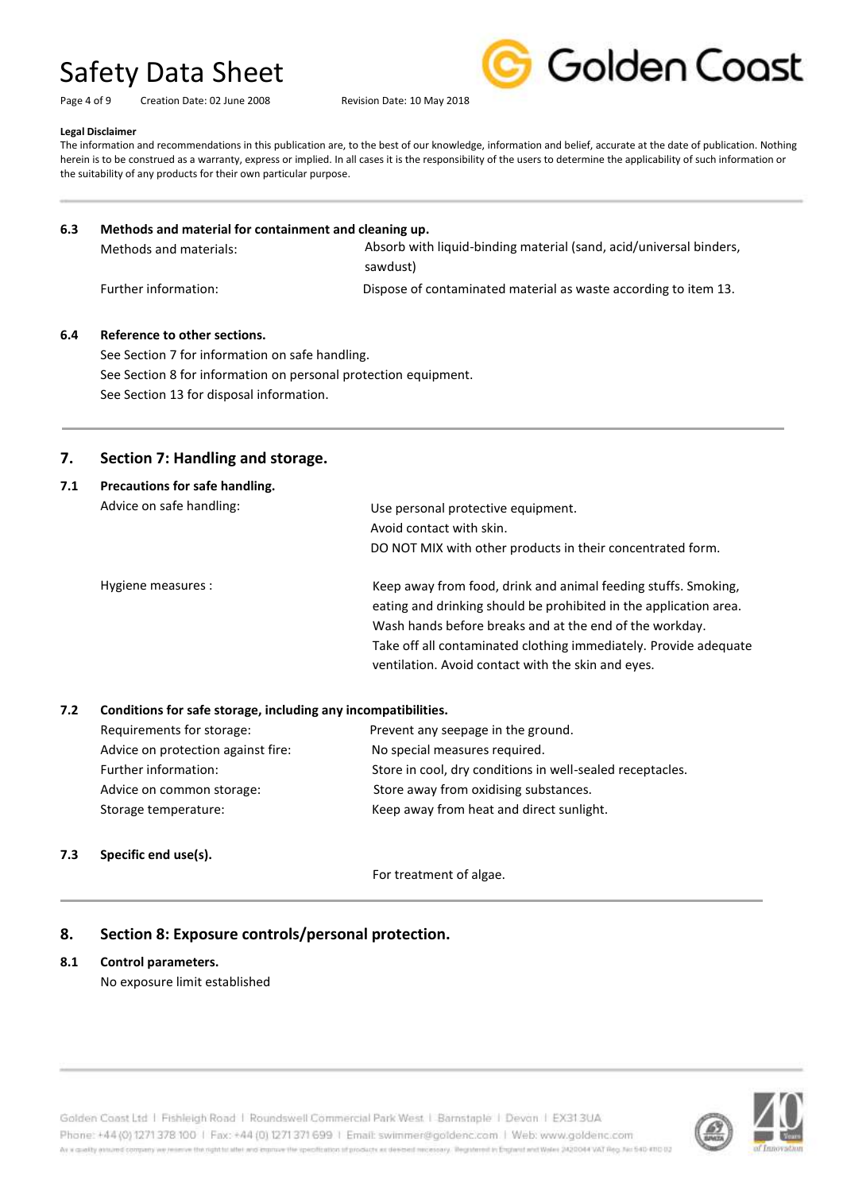Page 4 of 9 Creation Date: 02 June 2008 Revision Date: 10 May 2018



#### **Legal Disclaimer**

The information and recommendations in this publication are, to the best of our knowledge, information and belief, accurate at the date of publication. Nothing herein is to be construed as a warranty, express or implied. In all cases it is the responsibility of the users to determine the applicability of such information or the suitability of any products for their own particular purpose.

#### **6.3 Methods and material for containment and cleaning up.** Methods and materials: Further information: Dispose of contaminated material as waste according to item 13. Absorb with liquid-binding material (sand, acid/universal binders, sawdust)

#### **6.4 Reference to other sections.**

See Section 7 for information on safe handling. See Section 8 for information on personal protection equipment. See Section 13 for disposal information.

## **7. Section 7: Handling and storage.**

| 7.1 | Precautions for safe handling. |                                                                                                                                                                                                                                                                                                                          |  |  |
|-----|--------------------------------|--------------------------------------------------------------------------------------------------------------------------------------------------------------------------------------------------------------------------------------------------------------------------------------------------------------------------|--|--|
|     | Advice on safe handling:       | Use personal protective equipment.                                                                                                                                                                                                                                                                                       |  |  |
|     |                                | Avoid contact with skin.                                                                                                                                                                                                                                                                                                 |  |  |
|     |                                | DO NOT MIX with other products in their concentrated form.                                                                                                                                                                                                                                                               |  |  |
|     | Hygiene measures :             | Keep away from food, drink and animal feeding stuffs. Smoking,<br>eating and drinking should be prohibited in the application area.<br>Wash hands before breaks and at the end of the workday.<br>Take off all contaminated clothing immediately. Provide adequate<br>ventilation. Avoid contact with the skin and eyes. |  |  |

#### **7.2 Conditions for safe storage, including any incompatibilities.**

| Requirements for storage:          | Prevent any seepage in the ground.                        |
|------------------------------------|-----------------------------------------------------------|
| Advice on protection against fire: | No special measures required.                             |
| Further information:               | Store in cool, dry conditions in well-sealed receptacles. |
| Advice on common storage:          | Store away from oxidising substances.                     |
| Storage temperature:               | Keep away from heat and direct sunlight.                  |
|                                    |                                                           |

#### **7.3 Specific end use(s).**

For treatment of algae.

## **8. Section 8: Exposure controls/personal protection.**

#### **8.1 Control parameters.**

No exposure limit established

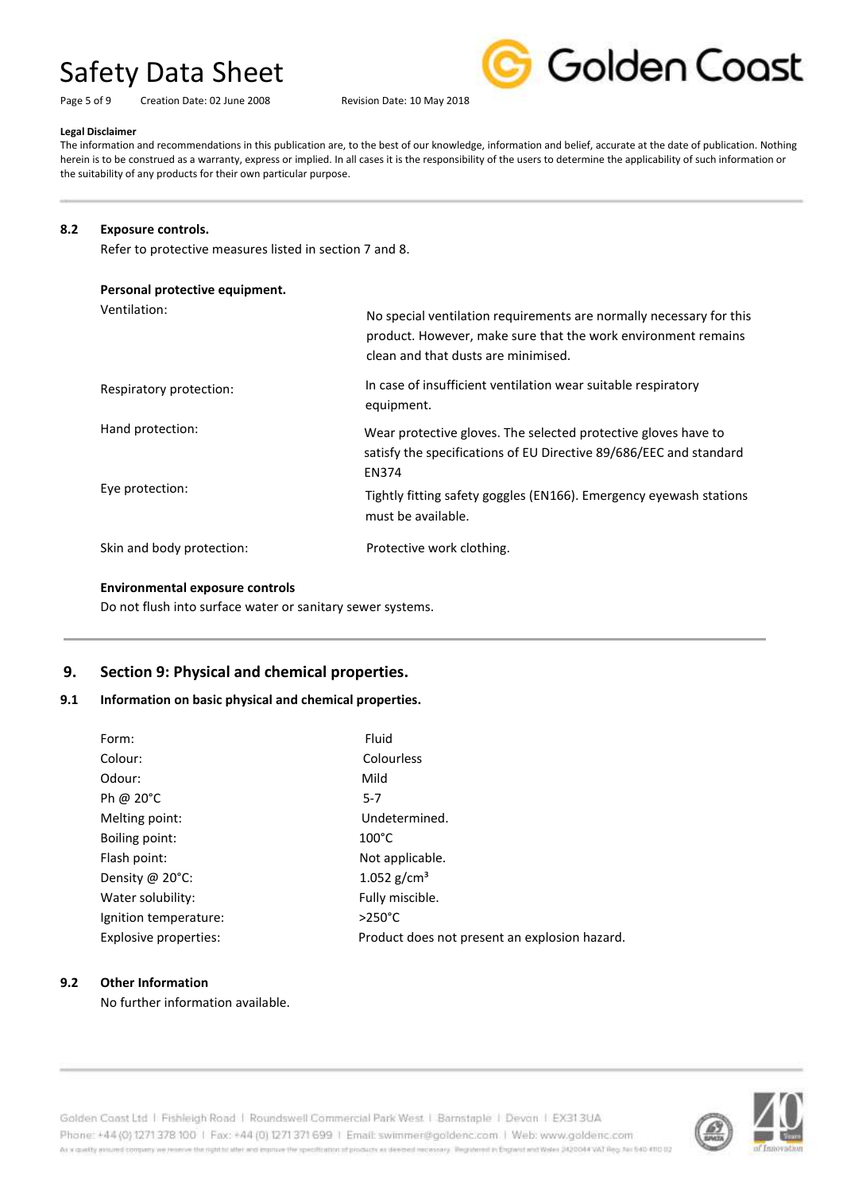Page 5 of 9 Creation Date: 02 June 2008 Revision Date: 10 May 2018



#### **Legal Disclaimer**

The information and recommendations in this publication are, to the best of our knowledge, information and belief, accurate at the date of publication. Nothing herein is to be construed as a warranty, express or implied. In all cases it is the responsibility of the users to determine the applicability of such information or the suitability of any products for their own particular purpose.

#### **8.2 Exposure controls.**

Refer to protective measures listed in section 7 and 8.

#### **Personal protective equipment.**

Ventilation:

| Ventilation:              | No special ventilation requirements are normally necessary for this<br>product. However, make sure that the work environment remains<br>clean and that dusts are minimised. |
|---------------------------|-----------------------------------------------------------------------------------------------------------------------------------------------------------------------------|
| Respiratory protection:   | In case of insufficient ventilation wear suitable respiratory<br>equipment.                                                                                                 |
| Hand protection:          | Wear protective gloves. The selected protective gloves have to<br>satisfy the specifications of EU Directive 89/686/EEC and standard<br><b>EN374</b>                        |
| Eye protection:           | Tightly fitting safety goggles (EN166). Emergency eyewash stations<br>must be available.                                                                                    |
| Skin and body protection: | Protective work clothing.                                                                                                                                                   |

#### **Environmental exposure controls**

Do not flush into surface water or sanitary sewer systems.

## **9. Section 9: Physical and chemical properties.**

#### **9.1 Information on basic physical and chemical properties.**

| Form:                 | Fluid                                         |
|-----------------------|-----------------------------------------------|
| Colour:               | Colourless                                    |
| Odour:                | Mild                                          |
| Ph @ 20°C             | $5 - 7$                                       |
| Melting point:        | Undetermined.                                 |
| Boiling point:        | $100^{\circ}$ C                               |
| Flash point:          | Not applicable.                               |
| Density @ 20°C:       | 1.052 $g/cm^3$                                |
| Water solubility:     | Fully miscible.                               |
| Ignition temperature: | $>250^{\circ}$ C                              |
| Explosive properties: | Product does not present an explosion hazard. |

#### **9.2 Other Information**

No further information available.

Golden Coast Ltd | Fishleigh Road | Roundswell Commercial Park West | Barnstaple | Devon | EX313UA Phone: +44 (0) 1271 378 100 | Fax: +44 (0) 1271 371 699 | Email: swimmer@goldenc.com | Web: www.goldenc.com As a quality ensured company we reserve the right to after and enprice the specification of products as deepent recessary. Registered in England and Wales (AQDO44 VAT Reg. Just 540-410 D2

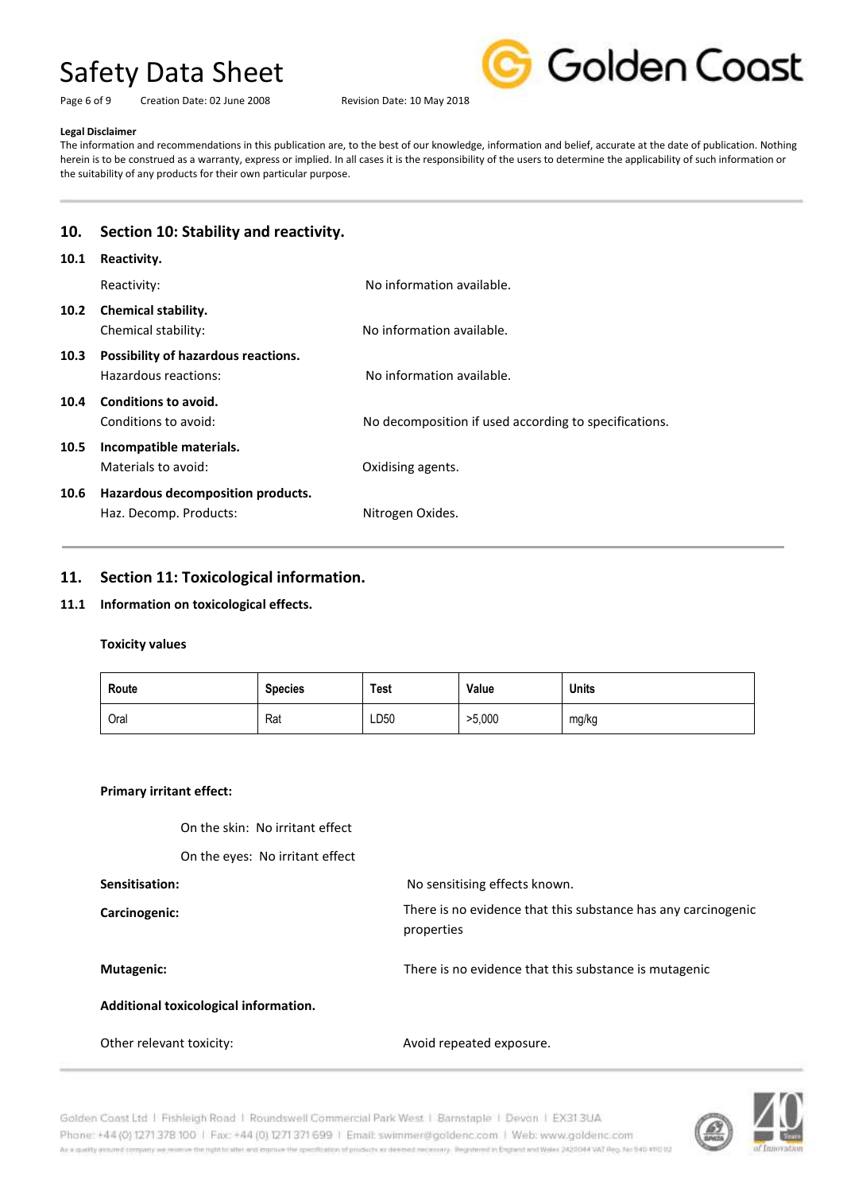Page 6 of 9 Creation Date: 02 June 2008 Revision Date: 10 May 2018



#### **Legal Disclaimer**

The information and recommendations in this publication are, to the best of our knowledge, information and belief, accurate at the date of publication. Nothing herein is to be construed as a warranty, express or implied. In all cases it is the responsibility of the users to determine the applicability of such information or the suitability of any products for their own particular purpose.

# **10. Section 10: Stability and reactivity.**

| 10.1              | Reactivity.                                                 |                                                       |
|-------------------|-------------------------------------------------------------|-------------------------------------------------------|
|                   | Reactivity:                                                 | No information available.                             |
| 10.2 <sub>1</sub> | <b>Chemical stability.</b><br>Chemical stability:           | No information available.                             |
| 10.3              | Possibility of hazardous reactions.<br>Hazardous reactions: | No information available.                             |
| 10.4              | Conditions to avoid.<br>Conditions to avoid:                | No decomposition if used according to specifications. |
| 10.5              | Incompatible materials.<br>Materials to avoid:              | Oxidising agents.                                     |
| 10.6              | Hazardous decomposition products.<br>Haz. Decomp. Products: | Nitrogen Oxides.                                      |
|                   |                                                             |                                                       |

### **11. Section 11: Toxicological information.**

#### **11.1 Information on toxicological effects.**

### **Toxicity values**

| Route | <b>Species</b> | Test | Value  | <b>Units</b> |
|-------|----------------|------|--------|--------------|
| Oral  | Rat            | LD50 | >5,000 | mg/kg        |

properties

#### **Primary irritant effect:**

On the skin: No irritant effect

On the eyes: No irritant effect

#### **Sensitisation: No sensitising effects known.**

**Carcinogenic:** 

#### **Mutagenic:** There is no evidence that this substance is mutagenic

There is no evidence that this substance has any carcinogenic

**Additional toxicological information.**

#### Other relevant toxicity: and the state of the Avoid repeated exposure.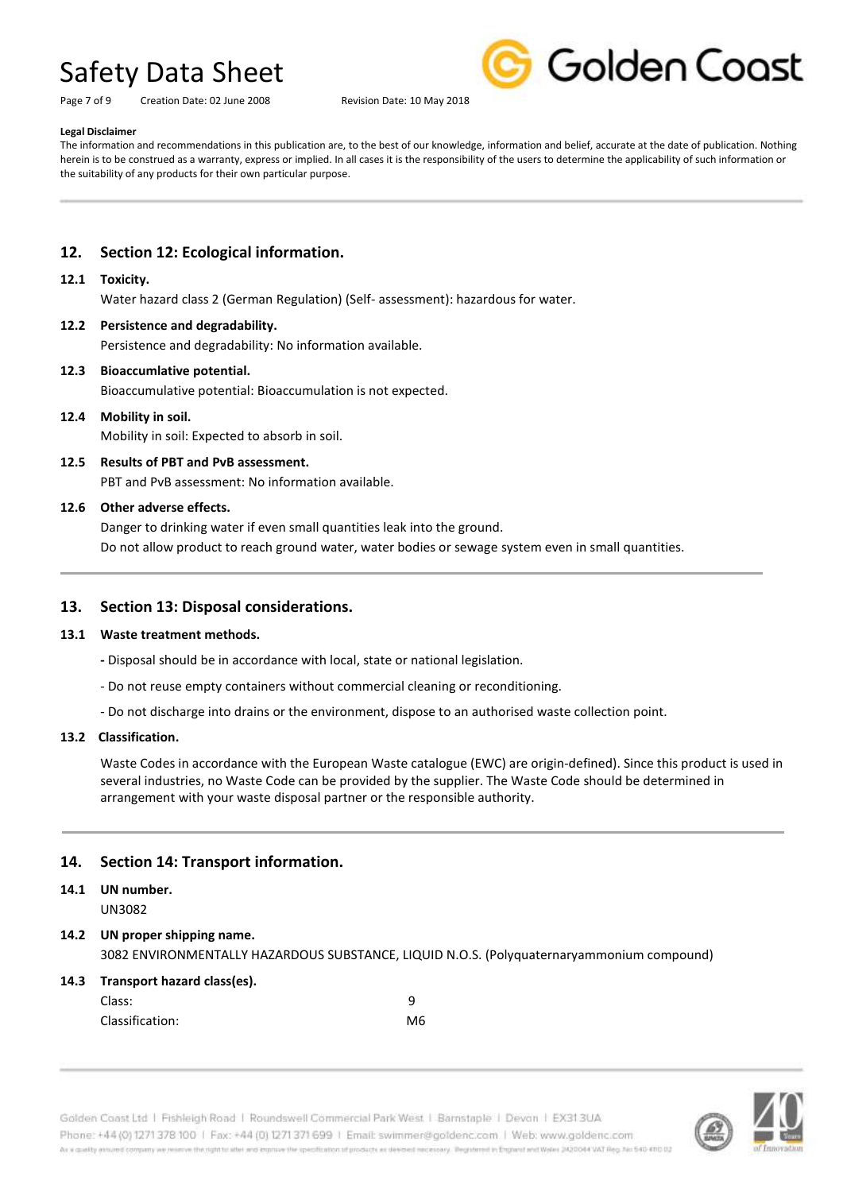Page 7 of 9 Creation Date: 02 June 2008 Revision Date: 10 May 2018



#### **Legal Disclaimer**

The information and recommendations in this publication are, to the best of our knowledge, information and belief, accurate at the date of publication. Nothing herein is to be construed as a warranty, express or implied. In all cases it is the responsibility of the users to determine the applicability of such information or the suitability of any products for their own particular purpose.

### **12. Section 12: Ecological information.**

#### **12.1 Toxicity.**

Water hazard class 2 (German Regulation) (Self- assessment): hazardous for water.

#### **12.2 Persistence and degradability.**

Persistence and degradability: No information available.

### **12.3 Bioaccumlative potential.**

Bioaccumulative potential: Bioaccumulation is not expected.

#### **12.4 Mobility in soil.**

Mobility in soil: Expected to absorb in soil.

#### **12.5 Results of PBT and PvB assessment.**

PBT and PvB assessment: No information available.

#### **12.6 Other adverse effects.**

Danger to drinking water if even small quantities leak into the ground. Do not allow product to reach ground water, water bodies or sewage system even in small quantities.

#### **13. Section 13: Disposal considerations.**

#### **13.1 Waste treatment methods.**

- **-** Disposal should be in accordance with local, state or national legislation.
- Do not reuse empty containers without commercial cleaning or reconditioning.
- Do not discharge into drains or the environment, dispose to an authorised waste collection point.

#### **13.2 Classification.**

Waste Codes in accordance with the European Waste catalogue (EWC) are origin-defined). Since this product is used in several industries, no Waste Code can be provided by the supplier. The Waste Code should be determined in arrangement with your waste disposal partner or the responsible authority.

#### **14. Section 14: Transport information.**

## **14.1 UN number.**

UN3082

#### **14.2 UN proper shipping name.** 3082 ENVIRONMENTALLY HAZARDOUS SUBSTANCE, LIQUID N.O.S. (Polyquaternaryammonium compound)

### **14.3 Transport hazard class(es).** Class: 9 Classification: M6

Golden Coast Ltd | Fishleigh Road | Roundswell Commercial Park West | Barnstaple | Devon | EX31.3UA Phone: +44 (0) 1271 378 100 | Fax: +44 (0) 1271 371 699 | Email: swimmer@goldenc.com | Web: www.goldenc.com As a coalty ensured company we reserve the right to aller and copmun the specification of products as deeped receivery. Registered in England and Wales 2420044 VAT Reg. No 540-410 02

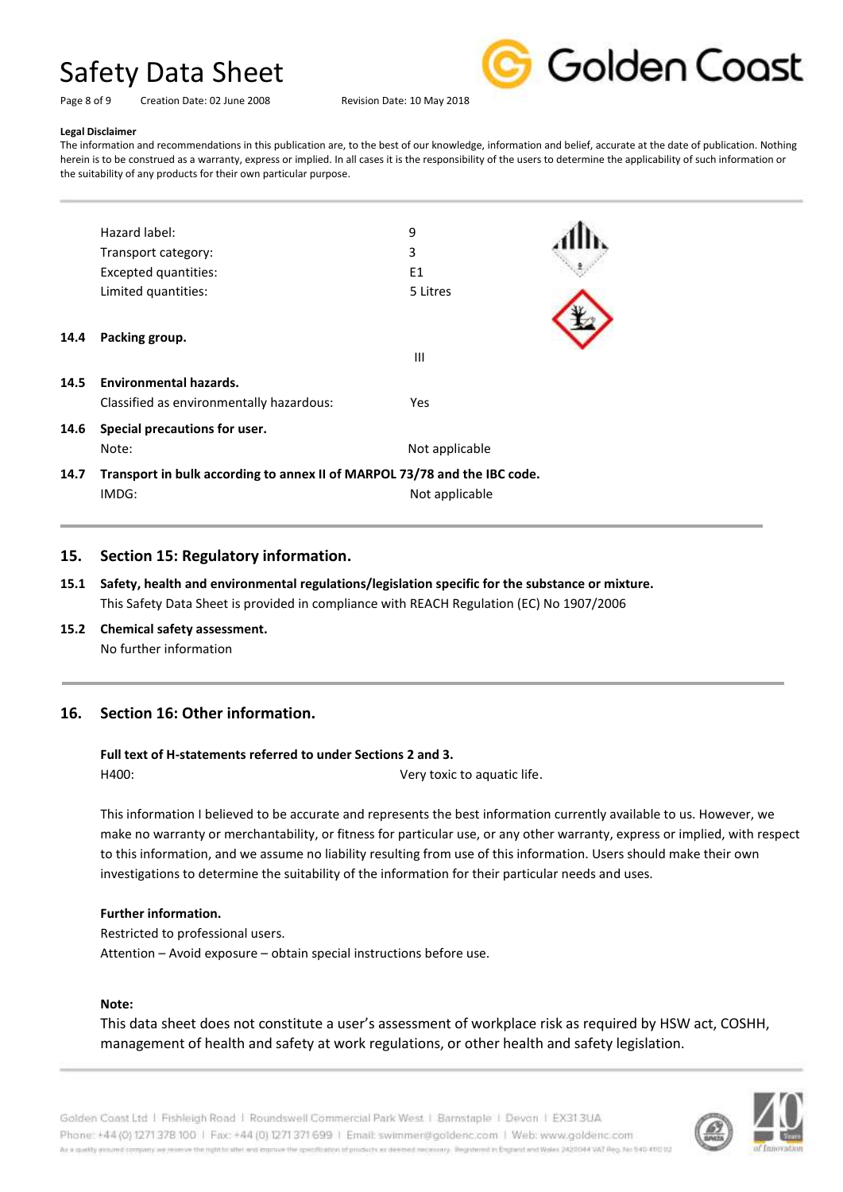Golden Coast

Page 8 of 9 Creation Date: 02 June 2008 Revision Date: 10 May 2018

#### **Legal Disclaimer**

The information and recommendations in this publication are, to the best of our knowledge, information and belief, accurate at the date of publication. Nothing herein is to be construed as a warranty, express or implied. In all cases it is the responsibility of the users to determine the applicability of such information or the suitability of any products for their own particular purpose.

|      | Hazard label:                                                             | 9              |  |
|------|---------------------------------------------------------------------------|----------------|--|
|      | Transport category:                                                       | 3              |  |
|      | Excepted quantities:                                                      | E1             |  |
|      | Limited quantities:                                                       | 5 Litres       |  |
| 14.4 | Packing group.                                                            | $\mathbf{III}$ |  |
| 14.5 | <b>Environmental hazards.</b>                                             |                |  |
|      | Classified as environmentally hazardous:                                  | Yes            |  |
| 14.6 | Special precautions for user.                                             |                |  |
|      | Note:                                                                     | Not applicable |  |
| 14.7 | Transport in bulk according to annex II of MARPOL 73/78 and the IBC code. |                |  |
|      | IMDG:                                                                     | Not applicable |  |
|      |                                                                           |                |  |

#### **15. Section 15: Regulatory information.**

- **15.1 Safety, health and environmental regulations/legislation specific for the substance or mixture.** This Safety Data Sheet is provided in compliance with REACH Regulation (EC) No 1907/2006
- **15.2 Chemical safety assessment.** No further information

#### **16. Section 16: Other information.**

#### **Full text of H-statements referred to under Sections 2 and 3.**

H400: Very toxic to aquatic life.

This information I believed to be accurate and represents the best information currently available to us. However, we make no warranty or merchantability, or fitness for particular use, or any other warranty, express or implied, with respect to this information, and we assume no liability resulting from use of this information. Users should make their own investigations to determine the suitability of the information for their particular needs and uses.

#### **Further information.**

Restricted to professional users. Attention – Avoid exposure – obtain special instructions before use.

#### **Note:**

This data sheet does not constitute a user's assessment of workplace risk as required by HSW act, COSHH, management of health and safety at work regulations, or other health and safety legislation.